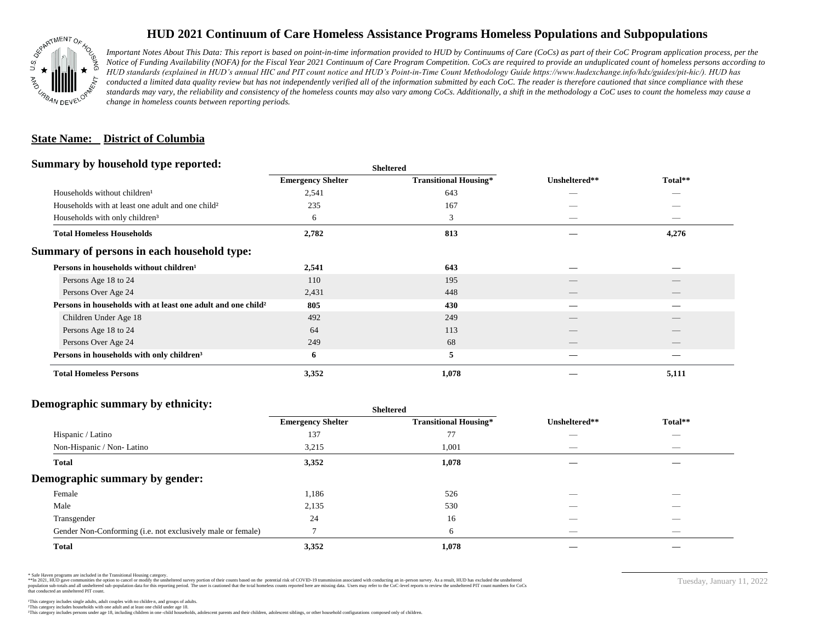

## **HUD 2021 Continuum of Care Homeless Assistance Programs Homeless Populations and Subpopulations**

*Important Notes About This Data: This report is based on point-in-time information provided to HUD by Continuums of Care (CoCs) as part of their CoC Program application process, per the Notice of Funding Availability (NOFA) for the Fiscal Year 2021 Continuum of Care Program Competition. CoCs are required to provide an unduplicated count of homeless persons according to HUD standards (explained in HUD's annual HIC and PIT count notice and HUD's Point-in-Time Count Methodology Guide https://www.hudexchange.info/hdx/guides/pit-hic/). HUD has*  conducted a limited data quality review but has not independently verified all of the information submitted by each CoC. The reader is therefore cautioned that since compliance with these standards may vary, the reliability and consistency of the homeless counts may also vary among CoCs. Additionally, a shift in the methodology a CoC uses to count the homeless may cause a *change in homeless counts between reporting periods.*

#### **State Name: District of Columbia**

#### **Summary by household type reported:**

|                                                                          |                          | patter                       |               |         |  |
|--------------------------------------------------------------------------|--------------------------|------------------------------|---------------|---------|--|
|                                                                          | <b>Emergency Shelter</b> | <b>Transitional Housing*</b> | Unsheltered** | Total** |  |
| Households without children <sup>1</sup>                                 | 2,541                    | 643                          |               | _       |  |
| Households with at least one adult and one child <sup>2</sup>            | 235                      | 167                          |               |         |  |
| Households with only children <sup>3</sup>                               | 6                        | 3                            |               |         |  |
| <b>Total Homeless Households</b>                                         | 2,782                    | 813                          |               | 4,276   |  |
| Summary of persons in each household type:                               |                          |                              |               |         |  |
| Persons in households without children <sup>1</sup>                      | 2,541                    | 643                          |               |         |  |
| Persons Age 18 to 24                                                     | 110                      | 195                          |               |         |  |
| Persons Over Age 24                                                      | 2,431                    | 448                          | __            | $-$     |  |
| Persons in households with at least one adult and one child <sup>2</sup> | 805                      | 430                          |               |         |  |
| Children Under Age 18                                                    | 492                      | 249                          |               |         |  |
| Persons Age 18 to 24                                                     | 64                       | 113                          |               |         |  |
| Persons Over Age 24                                                      | 249                      | 68                           |               |         |  |
| Persons in households with only children <sup>3</sup>                    | 6                        | 5                            |               |         |  |
| <b>Total Homeless Persons</b>                                            | 3,352                    | 1,078                        |               | 5,111   |  |
|                                                                          |                          |                              |               |         |  |

**Sheltered**

### **Demographic summary by ethnicity:**

|                                                             | <b>Sheltered</b>         |                              |                                 |                                |  |
|-------------------------------------------------------------|--------------------------|------------------------------|---------------------------------|--------------------------------|--|
|                                                             | <b>Emergency Shelter</b> | <b>Transitional Housing*</b> | Unsheltered**                   | Total**                        |  |
| Hispanic / Latino                                           | 137                      | 77                           | --                              | $\overbrace{\hspace{25mm}}^{}$ |  |
| Non-Hispanic / Non-Latino                                   | 3,215                    | 1,001                        | $\hspace{0.05cm}$               | $\overbrace{\hspace{25mm}}^{}$ |  |
| <b>Total</b>                                                | 3,352                    | 1,078                        |                                 |                                |  |
| Demographic summary by gender:                              |                          |                              |                                 |                                |  |
| Female                                                      | 1,186                    | 526                          | _                               | _                              |  |
| Male                                                        | 2,135                    | 530                          |                                 |                                |  |
| Transgender                                                 | 24                       | 16                           |                                 | $\overbrace{\hspace{25mm}}^{}$ |  |
| Gender Non-Conforming (i.e. not exclusively male or female) |                          | 6                            | $\hspace{0.1mm}-\hspace{0.1mm}$ | $\overbrace{\hspace{25mm}}^{}$ |  |
| <b>Total</b>                                                | 3,352                    | 1,078                        |                                 |                                |  |

\* Safe Haven programs are included in the Transitional Housing category.

\*\*In 2021, HUD gave communities the option to cancel or modify the unsheltered survey portion of their counts based on the potential risk of COVID-19 transmission associated with conducting an in-person survey. As a result n political data for this reporting period. The user is cautioned that the total homeless counts reported here are missing data. Users may refer to the CoC-level reports to review the unshellered PIT count numbers for CoCs that conducted an unsheltered PIT count.

Tuesday, January 11, 2022